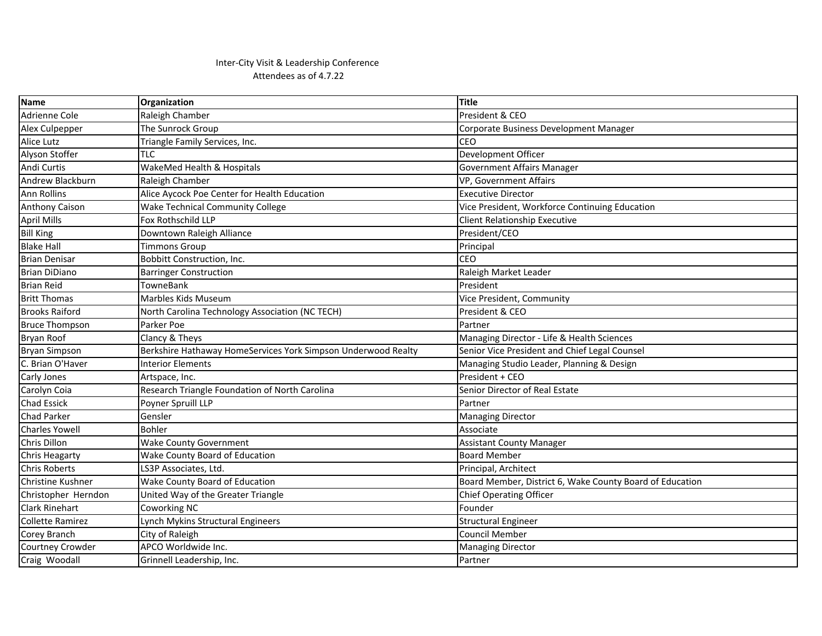## Inter-City Visit & Leadership Conference Attendees as of 4.7.22

| <b>Name</b>              | Organization                                                  | <b>Title</b>                                             |
|--------------------------|---------------------------------------------------------------|----------------------------------------------------------|
| Adrienne Cole            | Raleigh Chamber                                               | President & CEO                                          |
| Alex Culpepper           | The Sunrock Group                                             | Corporate Business Development Manager                   |
| <b>Alice Lutz</b>        | Triangle Family Services, Inc.                                | CEO                                                      |
| Alyson Stoffer           | TLC.                                                          | Development Officer                                      |
| Andi Curtis              | WakeMed Health & Hospitals                                    | <b>Government Affairs Manager</b>                        |
| Andrew Blackburn         | Raleigh Chamber                                               | VP, Government Affairs                                   |
| <b>Ann Rollins</b>       | Alice Aycock Poe Center for Health Education                  | <b>Executive Director</b>                                |
| <b>Anthony Caison</b>    | <b>Wake Technical Community College</b>                       | Vice President, Workforce Continuing Education           |
| <b>April Mills</b>       | Fox Rothschild LLP                                            | <b>Client Relationship Executive</b>                     |
| <b>Bill King</b>         | Downtown Raleigh Alliance                                     | President/CEO                                            |
| <b>Blake Hall</b>        | <b>Timmons Group</b>                                          | Principal                                                |
| <b>Brian Denisar</b>     | Bobbitt Construction, Inc.                                    | CEO                                                      |
| <b>Brian DiDiano</b>     | <b>Barringer Construction</b>                                 | Raleigh Market Leader                                    |
| <b>Brian Reid</b>        | <b>TowneBank</b>                                              | President                                                |
| <b>Britt Thomas</b>      | Marbles Kids Museum                                           | Vice President, Community                                |
| <b>Brooks Raiford</b>    | North Carolina Technology Association (NC TECH)               | President & CEO                                          |
| <b>Bruce Thompson</b>    | Parker Poe                                                    | Partner                                                  |
| Bryan Roof               | Clancy & Theys                                                | Managing Director - Life & Health Sciences               |
| <b>Bryan Simpson</b>     | Berkshire Hathaway HomeServices York Simpson Underwood Realty | Senior Vice President and Chief Legal Counsel            |
| C. Brian O'Haver         | <b>Interior Elements</b>                                      | Managing Studio Leader, Planning & Design                |
| Carly Jones              | Artspace, Inc.                                                | President + CEO                                          |
| Carolyn Coia             | Research Triangle Foundation of North Carolina                | Senior Director of Real Estate                           |
| <b>Chad Essick</b>       | Poyner Spruill LLP                                            | Partner                                                  |
| <b>Chad Parker</b>       | Gensler                                                       | <b>Managing Director</b>                                 |
| <b>Charles Yowell</b>    | <b>Bohler</b>                                                 | Associate                                                |
| Chris Dillon             | <b>Wake County Government</b>                                 | <b>Assistant County Manager</b>                          |
| Chris Heagarty           | Wake County Board of Education                                | <b>Board Member</b>                                      |
| <b>Chris Roberts</b>     | LS3P Associates, Ltd.                                         | Principal, Architect                                     |
| <b>Christine Kushner</b> | Wake County Board of Education                                | Board Member, District 6, Wake County Board of Education |
| Christopher Herndon      | United Way of the Greater Triangle                            | <b>Chief Operating Officer</b>                           |
| <b>Clark Rinehart</b>    | Coworking NC                                                  | Founder                                                  |
| <b>Collette Ramirez</b>  | Lynch Mykins Structural Engineers                             | <b>Structural Engineer</b>                               |
| Corey Branch             | City of Raleigh                                               | <b>Council Member</b>                                    |
| Courtney Crowder         | APCO Worldwide Inc.                                           | <b>Managing Director</b>                                 |
| Craig Woodall            | Grinnell Leadership, Inc.                                     | Partner                                                  |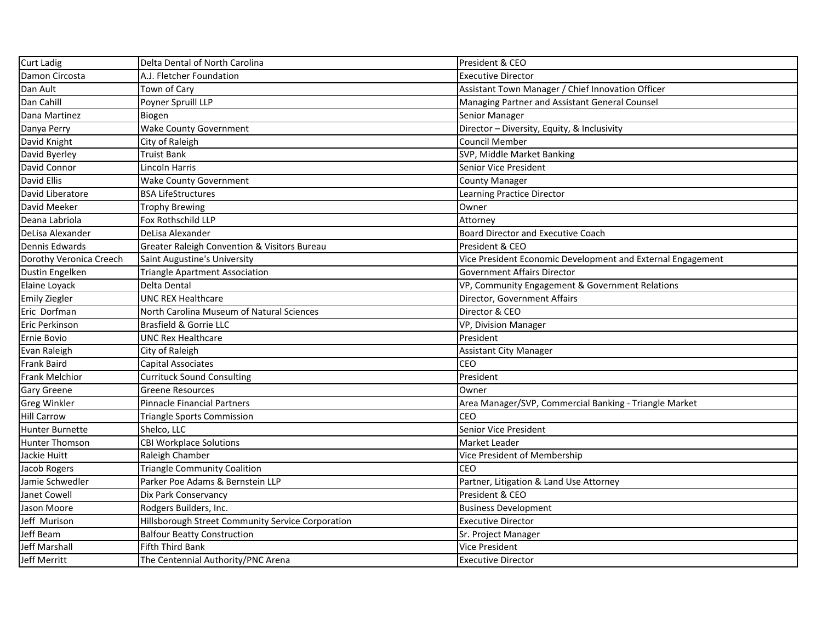| Curt Ladig              | Delta Dental of North Carolina                          | President & CEO                                             |
|-------------------------|---------------------------------------------------------|-------------------------------------------------------------|
| Damon Circosta          | A.J. Fletcher Foundation                                | <b>Executive Director</b>                                   |
| Dan Ault                | Town of Cary                                            | Assistant Town Manager / Chief Innovation Officer           |
| Dan Cahill              | Poyner Spruill LLP                                      | Managing Partner and Assistant General Counsel              |
| Dana Martinez           | Biogen                                                  | Senior Manager                                              |
| Danya Perry             | <b>Wake County Government</b>                           | Director - Diversity, Equity, & Inclusivity                 |
| David Knight            | City of Raleigh                                         | <b>Council Member</b>                                       |
| David Byerley           | <b>Truist Bank</b>                                      | SVP, Middle Market Banking                                  |
| David Connor            | Lincoln Harris                                          | Senior Vice President                                       |
| David Ellis             | <b>Wake County Government</b>                           | <b>County Manager</b>                                       |
| David Liberatore        | <b>BSA LifeStructures</b>                               | Learning Practice Director                                  |
| David Meeker            | <b>Trophy Brewing</b>                                   | Owner                                                       |
| Deana Labriola          | Fox Rothschild LLP                                      | Attorney                                                    |
| DeLisa Alexander        | DeLisa Alexander                                        | <b>Board Director and Executive Coach</b>                   |
| Dennis Edwards          | <b>Greater Raleigh Convention &amp; Visitors Bureau</b> | President & CEO                                             |
| Dorothy Veronica Creech | Saint Augustine's University                            | Vice President Economic Development and External Engagement |
| Dustin Engelken         | <b>Triangle Apartment Association</b>                   | <b>Government Affairs Director</b>                          |
| Elaine Loyack           | Delta Dental                                            | VP, Community Engagement & Government Relations             |
| <b>Emily Ziegler</b>    | <b>UNC REX Healthcare</b>                               | Director, Government Affairs                                |
| Eric Dorfman            | North Carolina Museum of Natural Sciences               | Director & CEO                                              |
| <b>Eric Perkinson</b>   | Brasfield & Gorrie LLC                                  | VP, Division Manager                                        |
| <b>Ernie Bovio</b>      | <b>UNC Rex Healthcare</b>                               | President                                                   |
| Evan Raleigh            | City of Raleigh                                         | <b>Assistant City Manager</b>                               |
| <b>Frank Baird</b>      | Capital Associates                                      | CEO                                                         |
| <b>Frank Melchior</b>   | <b>Currituck Sound Consulting</b>                       | President                                                   |
| <b>Gary Greene</b>      | <b>Greene Resources</b>                                 | Owner                                                       |
| <b>Greg Winkler</b>     | <b>Pinnacle Financial Partners</b>                      | Area Manager/SVP, Commercial Banking - Triangle Market      |
| <b>Hill Carrow</b>      | <b>Triangle Sports Commission</b>                       | CEO                                                         |
| <b>Hunter Burnette</b>  | Shelco, LLC                                             | Senior Vice President                                       |
| Hunter Thomson          | <b>CBI Workplace Solutions</b>                          | Market Leader                                               |
| Jackie Huitt            | Raleigh Chamber                                         | Vice President of Membership                                |
| Jacob Rogers            | <b>Triangle Community Coalition</b>                     | ICEO                                                        |
| Jamie Schwedler         | Parker Poe Adams & Bernstein LLP                        | Partner, Litigation & Land Use Attorney                     |
| Janet Cowell            | Dix Park Conservancy                                    | President & CEO                                             |
| Jason Moore             | Rodgers Builders, Inc.                                  | <b>Business Development</b>                                 |
| Jeff Murison            | Hillsborough Street Community Service Corporation       | <b>Executive Director</b>                                   |
| Jeff Beam               | <b>Balfour Beatty Construction</b>                      | Sr. Project Manager                                         |
| Jeff Marshall           | Fifth Third Bank                                        | Vice President                                              |
| Jeff Merritt            | The Centennial Authority/PNC Arena                      | <b>Executive Director</b>                                   |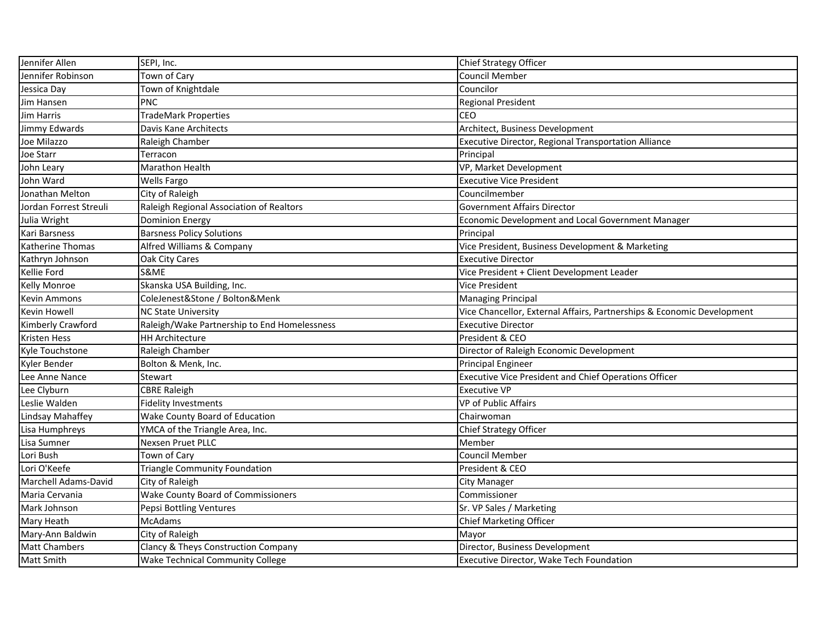| Jennifer Allen           | SEPI, Inc.                                   | <b>Chief Strategy Officer</b>                                          |
|--------------------------|----------------------------------------------|------------------------------------------------------------------------|
| Jennifer Robinson        | Town of Cary                                 | <b>Council Member</b>                                                  |
| Jessica Day              | Town of Knightdale                           | Councilor                                                              |
| Jim Hansen               | PNC                                          | <b>Regional President</b>                                              |
| <b>Jim Harris</b>        | <b>TradeMark Properties</b>                  | <b>CEO</b>                                                             |
| Jimmy Edwards            | Davis Kane Architects                        | Architect, Business Development                                        |
| Joe Milazzo              | Raleigh Chamber                              | Executive Director, Regional Transportation Alliance                   |
| Joe Starr                | Terracon                                     | Principal                                                              |
| John Leary               | <b>Marathon Health</b>                       | VP, Market Development                                                 |
| John Ward                | <b>Wells Fargo</b>                           | <b>Executive Vice President</b>                                        |
| Jonathan Melton          | City of Raleigh                              | Councilmember                                                          |
| Jordan Forrest Streuli   | Raleigh Regional Association of Realtors     | <b>Government Affairs Director</b>                                     |
| Julia Wright             | <b>Dominion Energy</b>                       | Economic Development and Local Government Manager                      |
| Kari Barsness            | <b>Barsness Policy Solutions</b>             | Principal                                                              |
| Katherine Thomas         | Alfred Williams & Company                    | Vice President, Business Development & Marketing                       |
| Kathryn Johnson          | Oak City Cares                               | <b>Executive Director</b>                                              |
| Kellie Ford              | S&ME                                         | Vice President + Client Development Leader                             |
| <b>Kelly Monroe</b>      | Skanska USA Building, Inc.                   | <b>Vice President</b>                                                  |
| <b>Kevin Ammons</b>      | ColeJenest&Stone / Bolton&Menk               | <b>Managing Principal</b>                                              |
| <b>Kevin Howell</b>      | <b>NC State University</b>                   | Vice Chancellor, External Affairs, Partnerships & Economic Development |
| <b>Kimberly Crawford</b> | Raleigh/Wake Partnership to End Homelessness | <b>Executive Director</b>                                              |
| <b>Kristen Hess</b>      | <b>HH Architecture</b>                       | President & CEO                                                        |
| Kyle Touchstone          | Raleigh Chamber                              | Director of Raleigh Economic Development                               |
| Kyler Bender             | Bolton & Menk, Inc.                          | <b>Principal Engineer</b>                                              |
| Lee Anne Nance           | Stewart                                      | <b>Executive Vice President and Chief Operations Officer</b>           |
| Lee Clyburn              | <b>CBRE Raleigh</b>                          | <b>Executive VP</b>                                                    |
| Leslie Walden            | <b>Fidelity Investments</b>                  | <b>VP of Public Affairs</b>                                            |
| Lindsay Mahaffey         | Wake County Board of Education               | Chairwoman                                                             |
| Lisa Humphreys           | YMCA of the Triangle Area, Inc.              | <b>Chief Strategy Officer</b>                                          |
| Lisa Sumner              | Nexsen Pruet PLLC                            | Member                                                                 |
| Lori Bush                | Town of Cary                                 | <b>Council Member</b>                                                  |
| Lori O'Keefe             | <b>Triangle Community Foundation</b>         | President & CEO                                                        |
| Marchell Adams-David     | City of Raleigh                              | <b>City Manager</b>                                                    |
| Maria Cervania           | <b>Wake County Board of Commissioners</b>    | Commissioner                                                           |
| Mark Johnson             | Pepsi Bottling Ventures                      | Sr. VP Sales / Marketing                                               |
| Mary Heath               | McAdams                                      | <b>Chief Marketing Officer</b>                                         |
| Mary-Ann Baldwin         | City of Raleigh                              | Mayor                                                                  |
| <b>Matt Chambers</b>     | Clancy & Theys Construction Company          | Director, Business Development                                         |
| <b>Matt Smith</b>        | <b>Wake Technical Community College</b>      | Executive Director, Wake Tech Foundation                               |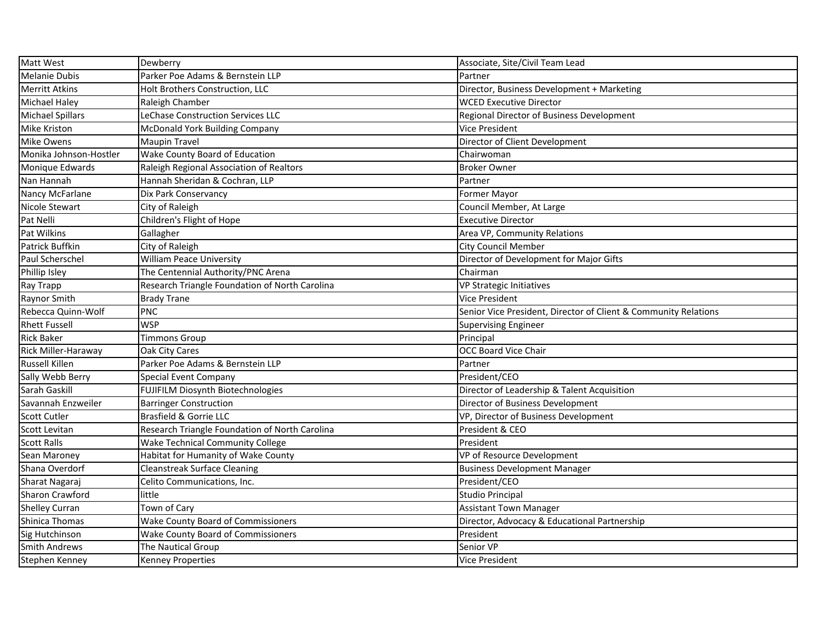| <b>Matt West</b>        | Dewberry                                       | Associate, Site/Civil Team Lead                                 |
|-------------------------|------------------------------------------------|-----------------------------------------------------------------|
| <b>Melanie Dubis</b>    | Parker Poe Adams & Bernstein LLP               | Partner                                                         |
| <b>Merritt Atkins</b>   | Holt Brothers Construction, LLC                | Director, Business Development + Marketing                      |
| <b>Michael Haley</b>    | Raleigh Chamber                                | <b>WCED Executive Director</b>                                  |
| <b>Michael Spillars</b> | LeChase Construction Services LLC              | <b>Regional Director of Business Development</b>                |
| Mike Kriston            | <b>McDonald York Building Company</b>          | <b>Vice President</b>                                           |
| Mike Owens              | <b>Maupin Travel</b>                           | Director of Client Development                                  |
| Monika Johnson-Hostler  | Wake County Board of Education                 | Chairwoman                                                      |
| Monique Edwards         | Raleigh Regional Association of Realtors       | <b>Broker Owner</b>                                             |
| Nan Hannah              | Hannah Sheridan & Cochran, LLP                 | Partner                                                         |
| Nancy McFarlane         | Dix Park Conservancy                           | Former Mayor                                                    |
| Nicole Stewart          | City of Raleigh                                | Council Member, At Large                                        |
| Pat Nelli               | Children's Flight of Hope                      | <b>Executive Director</b>                                       |
| Pat Wilkins             | Gallagher                                      | Area VP, Community Relations                                    |
| <b>Patrick Buffkin</b>  | City of Raleigh                                | <b>City Council Member</b>                                      |
| Paul Scherschel         | <b>William Peace University</b>                | Director of Development for Major Gifts                         |
| Phillip Isley           | The Centennial Authority/PNC Arena             | Chairman                                                        |
| Ray Trapp               | Research Triangle Foundation of North Carolina | <b>VP Strategic Initiatives</b>                                 |
| Raynor Smith            | <b>Brady Trane</b>                             | <b>Vice President</b>                                           |
| Rebecca Quinn-Wolf      | PNC                                            | Senior Vice President, Director of Client & Community Relations |
| <b>Rhett Fussell</b>    | <b>WSP</b>                                     | <b>Supervising Engineer</b>                                     |
| <b>Rick Baker</b>       | <b>Timmons Group</b>                           | Principal                                                       |
| Rick Miller-Haraway     | Oak City Cares                                 | <b>OCC Board Vice Chair</b>                                     |
| <b>Russell Killen</b>   | Parker Poe Adams & Bernstein LLP               | Partner                                                         |
| Sally Webb Berry        | <b>Special Event Company</b>                   | President/CEO                                                   |
| Sarah Gaskill           | FUJIFILM Diosynth Biotechnologies              | Director of Leadership & Talent Acquisition                     |
| Savannah Enzweiler      | <b>Barringer Construction</b>                  | Director of Business Development                                |
| <b>Scott Cutler</b>     | <b>Brasfield &amp; Gorrie LLC</b>              | VP, Director of Business Development                            |
| <b>Scott Levitan</b>    | Research Triangle Foundation of North Carolina | President & CEO                                                 |
| <b>Scott Ralls</b>      | <b>Wake Technical Community College</b>        | President                                                       |
| Sean Maroney            | Habitat for Humanity of Wake County            | VP of Resource Development                                      |
| Shana Overdorf          | <b>Cleanstreak Surface Cleaning</b>            | <b>Business Development Manager</b>                             |
| Sharat Nagaraj          | Celito Communications, Inc.                    | President/CEO                                                   |
| Sharon Crawford         | little                                         | <b>Studio Principal</b>                                         |
| <b>Shelley Curran</b>   | Town of Cary                                   | <b>Assistant Town Manager</b>                                   |
| Shinica Thomas          | <b>Wake County Board of Commissioners</b>      | Director, Advocacy & Educational Partnership                    |
| Sig Hutchinson          | <b>Wake County Board of Commissioners</b>      | President                                                       |
| <b>Smith Andrews</b>    | The Nautical Group                             | Senior VP                                                       |
| Stephen Kenney          | Kenney Properties                              | Vice President                                                  |